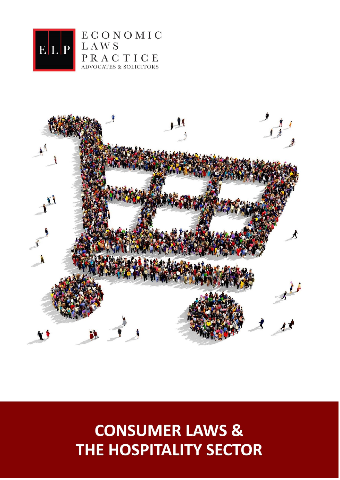



# **CONSUMER LAWS &** THE HOSPITALITY SECTOR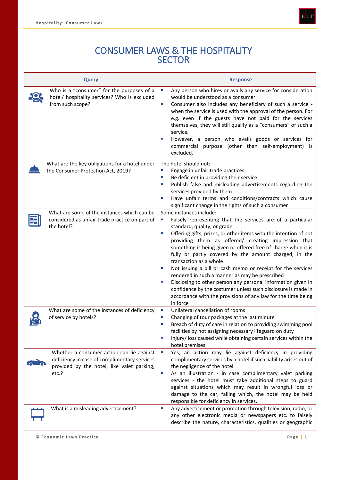

# CONSUMER LAWS & THE HOSPITALITY SECTOR

| <b>Query</b>                                                                                                                                     | <b>Response</b>                                                                                                                                                                                                                                                                                                                                                                                                                                                                                                                                                                                                                                                                                                                                       |
|--------------------------------------------------------------------------------------------------------------------------------------------------|-------------------------------------------------------------------------------------------------------------------------------------------------------------------------------------------------------------------------------------------------------------------------------------------------------------------------------------------------------------------------------------------------------------------------------------------------------------------------------------------------------------------------------------------------------------------------------------------------------------------------------------------------------------------------------------------------------------------------------------------------------|
| Who is a "consumer" for the purposes of a<br>hotel/ hospitality services? Who is excluded<br>from such scope?                                    | L.<br>Any person who hires or avails any service for consideration<br>would be understood as a consumer.<br>Consumer also includes any beneficiary of such a service -<br>$\overline{\phantom{a}}$<br>when the service is used with the approval of the person. For<br>e.g. even if the guests have not paid for the services<br>themselves, they will still qualify as a "consumers" of such a<br>service.<br>However, a person who avails goods or services for<br>×<br>commercial purpose (other than self-employment) is<br>excluded.                                                                                                                                                                                                             |
| What are the key obligations for a hotel under<br>the Consumer Protection Act, 2019?                                                             | The hotel should not:<br>Engage in unfair trade practices<br>×<br>Be deficient in providing their service<br>×.<br>Publish false and misleading advertisements regarding the<br>×.<br>services provided by them.<br>Have unfair terms and conditions/contracts which cause<br>×,<br>significant change in the rights of such a consumer                                                                                                                                                                                                                                                                                                                                                                                                               |
| What are some of the instances which can be<br>considered as unfair trade practice on part of<br>the hotel?                                      | Some instances include:<br>Falsely representing that the services are of a particular<br>×.<br>standard, quality, or grade<br>Offering gifts, prizes, or other items with the intention of not<br>×<br>providing them as offered/ creating impression that<br>something is being given or offered free of charge when it is<br>fully or partly covered by the amount charged, in the<br>transaction as a whole<br>Not issuing a bill or cash memo or receipt for the services<br>×<br>rendered in such a manner as may be prescribed<br>Disclosing to other person any personal information given in<br>×<br>confidence by the costumer unless such disclosure is made in<br>accordance with the provisions of any law for the time being<br>in force |
| What are some of the instances of deficiency<br>of service by hotels?                                                                            | Unilateral cancellation of rooms<br>$\mathcal{L}_{\mathcal{A}}$<br>Changing of tour packages at the last minute<br>×<br>Breach of duty of care in relation to providing swimming pool<br>facilities by not assigning necessary lifeguard on duty<br>Injury/ loss caused while obtaining certain services within the<br>×<br>hotel premises                                                                                                                                                                                                                                                                                                                                                                                                            |
| Whether a consumer action can lie against<br>deficiency in case of complimentary services<br>provided by the hotel, like valet parking,<br>etc.? | Yes, an action may lie against deficiency in providing<br>ш<br>complimentary services by a hotel if such liability arises out of<br>the negligence of the hotel<br>As an illustration - in case complimentary valet parking<br>ш<br>services - the hotel must take additional steps to guard<br>against situations which may result in wrongful loss or<br>damage to the car, failing which, the hotel may be held<br>responsible for deficiency in services.                                                                                                                                                                                                                                                                                         |
| What is a misleading advertisement?                                                                                                              | Any advertisement or promotion through television, radio, or<br>$\blacksquare$<br>any other electronic media or newspapers etc. to falsely<br>describe the nature, characteristics, qualities or geographic                                                                                                                                                                                                                                                                                                                                                                                                                                                                                                                                           |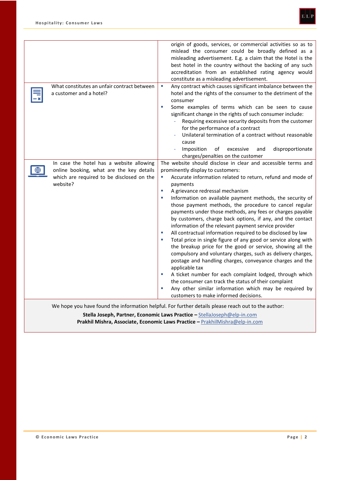

|                                                                                                     | origin of goods, services, or commercial activities so as to<br>mislead the consumer could be broadly defined as a<br>misleading advertisement. E.g. a claim that the Hotel is the<br>best hotel in the country without the backing of any such<br>accreditation from an established rating agency would<br>constitute as a misleading advertisement.                                                                                                                                                                                                                                                                                                                                                                                                                                                                                                                                                                                                                                                                 |
|-----------------------------------------------------------------------------------------------------|-----------------------------------------------------------------------------------------------------------------------------------------------------------------------------------------------------------------------------------------------------------------------------------------------------------------------------------------------------------------------------------------------------------------------------------------------------------------------------------------------------------------------------------------------------------------------------------------------------------------------------------------------------------------------------------------------------------------------------------------------------------------------------------------------------------------------------------------------------------------------------------------------------------------------------------------------------------------------------------------------------------------------|
| What constitutes an unfair contract between<br>a customer and a hotel?                              | Any contract which causes significant imbalance between the<br>$\blacksquare$<br>hotel and the rights of the consumer to the detriment of the<br>consumer<br>Some examples of terms which can be seen to cause<br>×<br>significant change in the rights of such consumer include:<br>Requiring excessive security deposits from the customer<br>for the performance of a contract<br>Unilateral termination of a contract without reasonable<br>cause<br>Imposition<br>οf<br>excessive<br>disproportionate<br>and<br>charges/penalties on the customer                                                                                                                                                                                                                                                                                                                                                                                                                                                                |
| In case the hotel has a website allowing                                                            | The website should disclose in clear and accessible terms and                                                                                                                                                                                                                                                                                                                                                                                                                                                                                                                                                                                                                                                                                                                                                                                                                                                                                                                                                         |
| online booking, what are the key details                                                            | prominently display to customers:                                                                                                                                                                                                                                                                                                                                                                                                                                                                                                                                                                                                                                                                                                                                                                                                                                                                                                                                                                                     |
| which are required to be disclosed on the<br>website?                                               | Accurate information related to return, refund and mode of<br>L.<br>payments<br>A grievance redressal mechanism<br>٠<br>Information on available payment methods, the security of<br>×<br>those payment methods, the procedure to cancel regular<br>payments under those methods, any fees or charges payable<br>by customers, charge back options, if any, and the contact<br>information of the relevant payment service provider<br>All contractual information required to be disclosed by law<br>×<br>Total price in single figure of any good or service along with<br>٠<br>the breakup price for the good or service, showing all the<br>compulsory and voluntary charges, such as delivery charges,<br>postage and handling charges, conveyance charges and the<br>applicable tax<br>A ticket number for each complaint lodged, through which<br>×<br>the consumer can track the status of their complaint<br>Any other similar information which may be required by<br>customers to make informed decisions. |
| We hope you have found the information helpful. For further details please reach out to the author: |                                                                                                                                                                                                                                                                                                                                                                                                                                                                                                                                                                                                                                                                                                                                                                                                                                                                                                                                                                                                                       |

**Stella Joseph, Partner, Economic Laws Practice –** [StellaJoseph@elp-in.com](mailto:StellaJoseph@elp-in.com) **Prakhil Mishra, Associate, Economic Laws Practice –** [PrakhilMishra@elp-in.com](mailto:PrakhilMishra@elp-in.com)